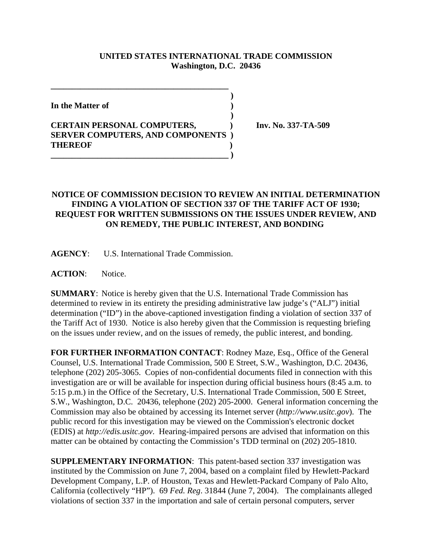## **UNITED STATES INTERNATIONAL TRADE COMMISSION Washington, D.C. 20436**

 **)**

 **)**

**In the Matter of )**

## **CERTAIN PERSONAL COMPUTERS, ) Inv. No. 337-TA-509 SERVER COMPUTERS, AND COMPONENTS ) THEREOF ) \_\_\_\_\_\_\_\_\_\_\_\_\_\_\_\_\_\_\_\_\_\_\_\_\_\_\_\_\_\_\_\_\_\_\_\_\_\_\_\_\_\_ )**

**\_\_\_\_\_\_\_\_\_\_\_\_\_\_\_\_\_\_\_\_\_\_\_\_\_\_\_\_\_\_\_\_\_\_\_\_\_\_\_\_\_\_**

## **NOTICE OF COMMISSION DECISION TO REVIEW AN INITIAL DETERMINATION FINDING A VIOLATION OF SECTION 337 OF THE TARIFF ACT OF 1930; REQUEST FOR WRITTEN SUBMISSIONS ON THE ISSUES UNDER REVIEW, AND ON REMEDY, THE PUBLIC INTEREST, AND BONDING**

**AGENCY**: U.S. International Trade Commission.

**ACTION**: Notice.

**SUMMARY**: Notice is hereby given that the U.S. International Trade Commission has determined to review in its entirety the presiding administrative law judge's ("ALJ") initial determination ("ID") in the above-captioned investigation finding a violation of section 337 of the Tariff Act of 1930. Notice is also hereby given that the Commission is requesting briefing on the issues under review, and on the issues of remedy, the public interest, and bonding.

**FOR FURTHER INFORMATION CONTACT**: Rodney Maze, Esq., Office of the General Counsel, U.S. International Trade Commission, 500 E Street, S.W., Washington, D.C. 20436, telephone (202) 205-3065. Copies of non-confidential documents filed in connection with this investigation are or will be available for inspection during official business hours (8:45 a.m. to 5:15 p.m.) in the Office of the Secretary, U.S. International Trade Commission, 500 E Street, S.W., Washington, D.C. 20436, telephone (202) 205-2000. General information concerning the Commission may also be obtained by accessing its Internet server (*http://www.usitc.gov*). The public record for this investigation may be viewed on the Commission's electronic docket (EDIS) at *http://edis.usitc.gov*. Hearing-impaired persons are advised that information on this matter can be obtained by contacting the Commission's TDD terminal on (202) 205-1810.

**SUPPLEMENTARY INFORMATION**: This patent-based section 337 investigation was instituted by the Commission on June 7, 2004, based on a complaint filed by Hewlett-Packard Development Company, L.P. of Houston, Texas and Hewlett-Packard Company of Palo Alto, California (collectively "HP"). 69 *Fed. Reg*. 31844 (June 7, 2004). The complainants alleged violations of section 337 in the importation and sale of certain personal computers, server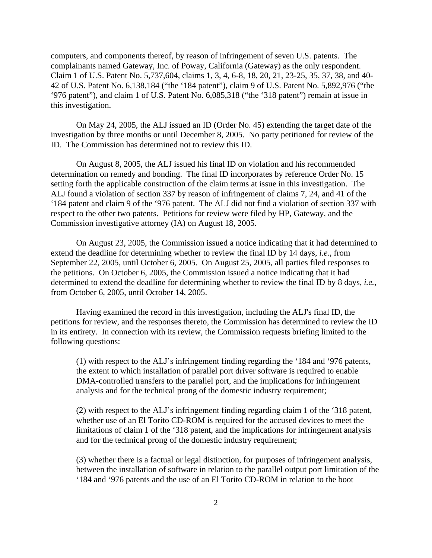computers, and components thereof, by reason of infringement of seven U.S. patents. The complainants named Gateway, Inc. of Poway, California (Gateway) as the only respondent. Claim 1 of U.S. Patent No. 5,737,604, claims 1, 3, 4, 6-8, 18, 20, 21, 23-25, 35, 37, 38, and 40- 42 of U.S. Patent No. 6,138,184 ("the '184 patent"), claim 9 of U.S. Patent No. 5,892,976 ("the '976 patent"), and claim 1 of U.S. Patent No. 6,085,318 ("the '318 patent") remain at issue in this investigation.

On May 24, 2005, the ALJ issued an ID (Order No. 45) extending the target date of the investigation by three months or until December 8, 2005. No party petitioned for review of the ID. The Commission has determined not to review this ID.

On August 8, 2005, the ALJ issued his final ID on violation and his recommended determination on remedy and bonding. The final ID incorporates by reference Order No. 15 setting forth the applicable construction of the claim terms at issue in this investigation. The ALJ found a violation of section 337 by reason of infringement of claims 7, 24, and 41 of the '184 patent and claim 9 of the '976 patent. The ALJ did not find a violation of section 337 with respect to the other two patents. Petitions for review were filed by HP, Gateway, and the Commission investigative attorney (IA) on August 18, 2005.

On August 23, 2005, the Commission issued a notice indicating that it had determined to extend the deadline for determining whether to review the final ID by 14 days, *i.e.*, from September 22, 2005, until October 6, 2005. On August 25, 2005, all parties filed responses to the petitions. On October 6, 2005, the Commission issued a notice indicating that it had determined to extend the deadline for determining whether to review the final ID by 8 days, *i.e.*, from October 6, 2005, until October 14, 2005.

Having examined the record in this investigation, including the ALJ's final ID, the petitions for review, and the responses thereto, the Commission has determined to review the ID in its entirety. In connection with its review, the Commission requests briefing limited to the following questions:

(1) with respect to the ALJ's infringement finding regarding the '184 and '976 patents, the extent to which installation of parallel port driver software is required to enable DMA-controlled transfers to the parallel port, and the implications for infringement analysis and for the technical prong of the domestic industry requirement;

(2) with respect to the ALJ's infringement finding regarding claim 1 of the '318 patent, whether use of an El Torito CD-ROM is required for the accused devices to meet the limitations of claim 1 of the '318 patent, and the implications for infringement analysis and for the technical prong of the domestic industry requirement;

(3) whether there is a factual or legal distinction, for purposes of infringement analysis, between the installation of software in relation to the parallel output port limitation of the '184 and '976 patents and the use of an El Torito CD-ROM in relation to the boot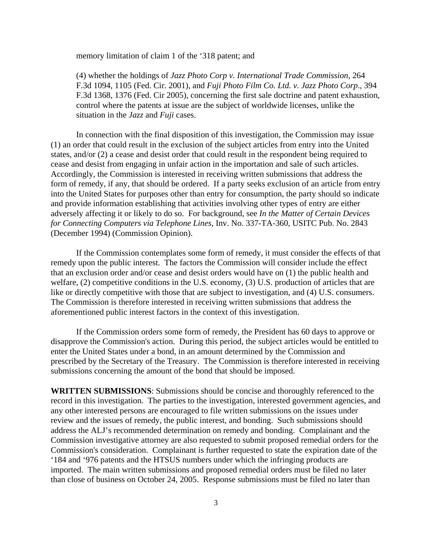memory limitation of claim 1 of the '318 patent; and

 (4) whether the holdings of *Jazz Photo Corp v. International Trade Commission*, 264 F.3d 1094, 1105 (Fed. Cir. 2001), and *Fuji Photo Film Co. Ltd. v. Jazz Photo Corp*., 394 F.3d 1368, 1376 (Fed. Cir 2005), concerning the first sale doctrine and patent exhaustion, control where the patents at issue are the subject of worldwide licenses, unlike the situation in the *Jazz* and *Fuji* cases.

In connection with the final disposition of this investigation, the Commission may issue (1) an order that could result in the exclusion of the subject articles from entry into the United states, and/or (2) a cease and desist order that could result in the respondent being required to cease and desist from engaging in unfair action in the importation and sale of such articles. Accordingly, the Commission is interested in receiving written submissions that address the form of remedy, if any, that should be ordered. If a party seeks exclusion of an article from entry into the United States for purposes other than entry for consumption, the party should so indicate and provide information establishing that activities involving other types of entry are either adversely affecting it or likely to do so. For background, see *In the Matter of Certain Devices for Connecting Computers via Telephone Lines*, Inv. No. 337-TA-360, USITC Pub. No. 2843 (December 1994) (Commission Opinion).

If the Commission contemplates some form of remedy, it must consider the effects of that remedy upon the public interest. The factors the Commission will consider include the effect that an exclusion order and/or cease and desist orders would have on (1) the public health and welfare, (2) competitive conditions in the U.S. economy, (3) U.S. production of articles that are like or directly competitive with those that are subject to investigation, and (4) U.S. consumers. The Commission is therefore interested in receiving written submissions that address the aforementioned public interest factors in the context of this investigation.

If the Commission orders some form of remedy, the President has 60 days to approve or disapprove the Commission's action. During this period, the subject articles would be entitled to enter the United States under a bond, in an amount determined by the Commission and prescribed by the Secretary of the Treasury. The Commission is therefore interested in receiving submissions concerning the amount of the bond that should be imposed.

**WRITTEN SUBMISSIONS**: Submissions should be concise and thoroughly referenced to the record in this investigation. The parties to the investigation, interested government agencies, and any other interested persons are encouraged to file written submissions on the issues under review and the issues of remedy, the public interest, and bonding. Such submissions should address the ALJ's recommended determination on remedy and bonding. Complainant and the Commission investigative attorney are also requested to submit proposed remedial orders for the Commission's consideration. Complainant is further requested to state the expiration date of the '184 and '976 patents and the HTSUS numbers under which the infringing products are imported. The main written submissions and proposed remedial orders must be filed no later than close of business on October 24, 2005. Response submissions must be filed no later than